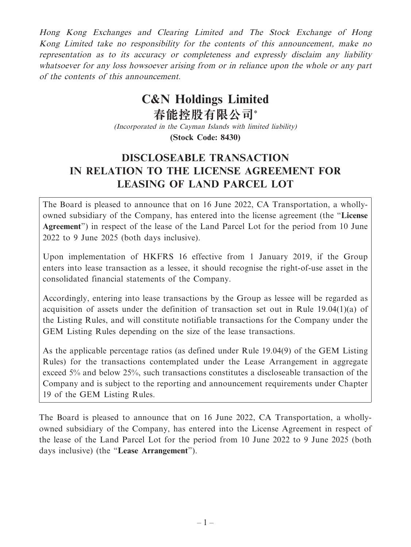Hong Kong Exchanges and Clearing Limited and The Stock Exchange of Hong Kong Limited take no responsibility for the contents of this announcement, make no representation as to its accuracy or completeness and expressly disclaim any liability whatsoever for any loss howsoever arising from or in reliance upon the whole or any part of the contents of this announcement.

# **C&N Holdings Limited**

**春能控股有限公司\*** (Incorporated in the Cayman Islands with limited liability) **(Stock Code: 8430)**

# **DISCLOSEABLE TRANSACTION IN RELATION TO THE LICENSE AGREEMENT FOR LEASING OF LAND PARCEL LOT**

The Board is pleased to announce that on 16 June 2022, CA Transportation, a whollyowned subsidiary of the Company, has entered into the license agreement (the "**License Agreement**") in respect of the lease of the Land Parcel Lot for the period from 10 June 2022 to 9 June 2025 (both days inclusive).

Upon implementation of HKFRS 16 effective from 1 January 2019, if the Group enters into lease transaction as a lessee, it should recognise the right-of-use asset in the consolidated financial statements of the Company.

Accordingly, entering into lease transactions by the Group as lessee will be regarded as acquisition of assets under the definition of transaction set out in Rule 19.04(1)(a) of the Listing Rules, and will constitute notifiable transactions for the Company under the GEM Listing Rules depending on the size of the lease transactions.

As the applicable percentage ratios (as defined under Rule 19.04(9) of the GEM Listing Rules) for the transactions contemplated under the Lease Arrangement in aggregate exceed 5% and below 25%, such transactions constitutes a discloseable transaction of the Company and is subject to the reporting and announcement requirements under Chapter 19 of the GEM Listing Rules.

The Board is pleased to announce that on 16 June 2022, CA Transportation, a whollyowned subsidiary of the Company, has entered into the License Agreement in respect of the lease of the Land Parcel Lot for the period from 10 June 2022 to 9 June 2025 (both days inclusive) (the "**Lease Arrangement**").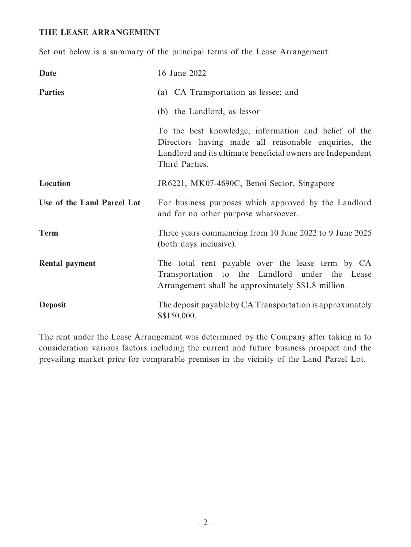#### **THE LEASE ARRANGEMENT**

Set out below is a summary of the principal terms of the Lease Arrangement:

| Date                       | 16 June 2022                                                                                                                                                                                 |
|----------------------------|----------------------------------------------------------------------------------------------------------------------------------------------------------------------------------------------|
| <b>Parties</b>             | (a) CA Transportation as lessee; and                                                                                                                                                         |
|                            | (b) the Landlord, as lessor                                                                                                                                                                  |
|                            | To the best knowledge, information and belief of the<br>Directors having made all reasonable enquiries, the<br>Landlord and its ultimate beneficial owners are Independent<br>Third Parties. |
| Location                   | JR6221, MK07-4690C, Benoi Sector, Singapore                                                                                                                                                  |
| Use of the Land Parcel Lot | For business purposes which approved by the Landlord<br>and for no other purpose whatsoever.                                                                                                 |
| <b>Term</b>                | Three years commencing from 10 June 2022 to 9 June 2025<br>(both days inclusive).                                                                                                            |
| Rental payment             | The total rent payable over the lease term by CA<br>Transportation to the Landlord under the Lease<br>Arrangement shall be approximately S\$1.8 million.                                     |
| <b>Deposit</b>             | The deposit payable by CA Transportation is approximately<br>S\$150,000.                                                                                                                     |

The rent under the Lease Arrangement was determined by the Company after taking in to consideration various factors including the current and future business prospect and the prevailing market price for comparable premises in the vicinity of the Land Parcel Lot.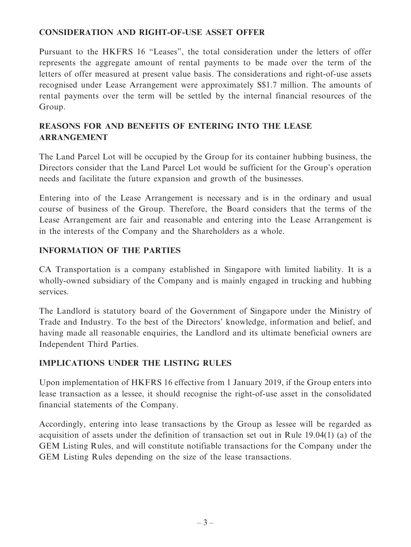## **CONSIDERATION AND RIGHT-OF-USE ASSET OFFER**

Pursuant to the HKFRS 16 "Leases", the total consideration under the letters of offer represents the aggregate amount of rental payments to be made over the term of the letters of offer measured at present value basis. The considerations and right-of-use assets recognised under Lease Arrangement were approximately S\$1.7 million. The amounts of rental payments over the term will be settled by the internal financial resources of the Group.

# **REASONS FOR AND BENEFITS OF ENTERING INTO THE LEASE ARRANGEMENT**

The Land Parcel Lot will be occupied by the Group for its container hubbing business, the Directors consider that the Land Parcel Lot would be sufficient for the Group's operation needs and facilitate the future expansion and growth of the businesses.

Entering into of the Lease Arrangement is necessary and is in the ordinary and usual course of business of the Group. Therefore, the Board considers that the terms of the Lease Arrangement are fair and reasonable and entering into the Lease Arrangement is in the interests of the Company and the Shareholders as a whole.

### **INFORMATION OF THE PARTIES**

CA Transportation is a company established in Singapore with limited liability. It is a wholly-owned subsidiary of the Company and is mainly engaged in trucking and hubbing services.

The Landlord is statutory board of the Government of Singapore under the Ministry of Trade and Industry. To the best of the Directors' knowledge, information and belief, and having made all reasonable enquiries, the Landlord and its ultimate beneficial owners are Independent Third Parties.

#### **IMPLICATIONS UNDER THE LISTING RULES**

Upon implementation of HKFRS 16 effective from 1 January 2019, if the Group enters into lease transaction as a lessee, it should recognise the right-of-use asset in the consolidated financial statements of the Company.

Accordingly, entering into lease transactions by the Group as lessee will be regarded as acquisition of assets under the definition of transaction set out in Rule 19.04(1) (a) of the GEM Listing Rules, and will constitute notifiable transactions for the Company under the GEM Listing Rules depending on the size of the lease transactions.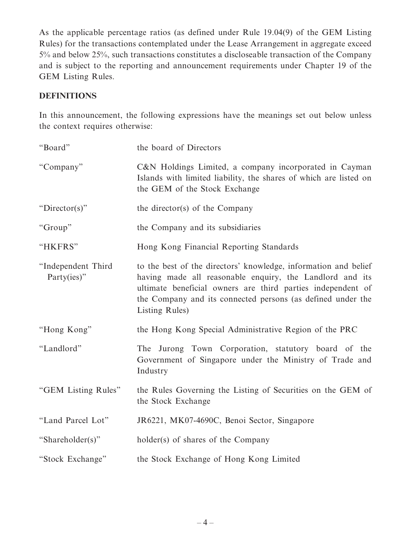As the applicable percentage ratios (as defined under Rule 19.04(9) of the GEM Listing Rules) for the transactions contemplated under the Lease Arrangement in aggregate exceed 5% and below 25%, such transactions constitutes a discloseable transaction of the Company and is subject to the reporting and announcement requirements under Chapter 19 of the GEM Listing Rules.

# **DEFINITIONS**

In this announcement, the following expressions have the meanings set out below unless the context requires otherwise:

| "Board"                           | the board of Directors                                                                                                                                                                                                                                                      |
|-----------------------------------|-----------------------------------------------------------------------------------------------------------------------------------------------------------------------------------------------------------------------------------------------------------------------------|
| "Company"                         | C&N Holdings Limited, a company incorporated in Cayman<br>Islands with limited liability, the shares of which are listed on<br>the GEM of the Stock Exchange                                                                                                                |
| " $Director(s)$ "                 | the director(s) of the Company                                                                                                                                                                                                                                              |
| "Group"                           | the Company and its subsidiaries                                                                                                                                                                                                                                            |
| "HKFRS"                           | Hong Kong Financial Reporting Standards                                                                                                                                                                                                                                     |
| "Independent Third<br>Party(ies)" | to the best of the directors' knowledge, information and belief<br>having made all reasonable enquiry, the Landlord and its<br>ultimate beneficial owners are third parties independent of<br>the Company and its connected persons (as defined under the<br>Listing Rules) |
| "Hong Kong"                       | the Hong Kong Special Administrative Region of the PRC                                                                                                                                                                                                                      |
| "Landlord"                        | The Jurong Town Corporation, statutory board of the<br>Government of Singapore under the Ministry of Trade and<br>Industry                                                                                                                                                  |
| "GEM Listing Rules"               | the Rules Governing the Listing of Securities on the GEM of<br>the Stock Exchange                                                                                                                                                                                           |
| "Land Parcel Lot"                 | JR6221, MK07-4690C, Benoi Sector, Singapore                                                                                                                                                                                                                                 |
| "Shareholder(s)"                  | holder(s) of shares of the Company                                                                                                                                                                                                                                          |
| "Stock Exchange"                  | the Stock Exchange of Hong Kong Limited                                                                                                                                                                                                                                     |